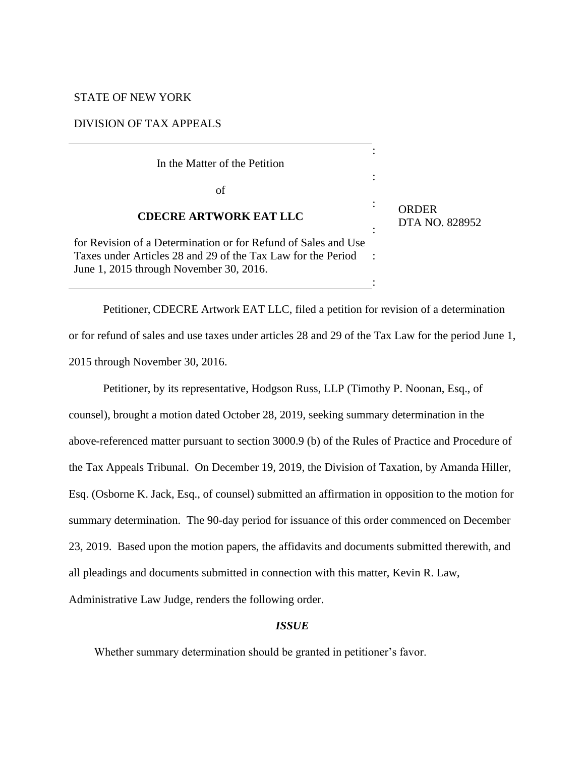## STATE OF NEW YORK

### DIVISION OF TAX APPEALS

| In the Matter of the Petition                                                                                                                                             |                |                                |
|---------------------------------------------------------------------------------------------------------------------------------------------------------------------------|----------------|--------------------------------|
| οf                                                                                                                                                                        |                |                                |
| <b>CDECRE ARTWORK EAT LLC</b>                                                                                                                                             | $\bullet$<br>٠ | <b>ORDER</b><br>DTA NO. 828952 |
| for Revision of a Determination or for Refund of Sales and Use<br>Taxes under Articles 28 and 29 of the Tax Law for the Period<br>June 1, 2015 through November 30, 2016. |                |                                |
|                                                                                                                                                                           |                |                                |

Petitioner, CDECRE Artwork EAT LLC, filed a petition for revision of a determination or for refund of sales and use taxes under articles 28 and 29 of the Tax Law for the period June 1, 2015 through November 30, 2016.

Petitioner, by its representative, Hodgson Russ, LLP (Timothy P. Noonan, Esq., of counsel), brought a motion dated October 28, 2019, seeking summary determination in the above-referenced matter pursuant to section 3000.9 (b) of the Rules of Practice and Procedure of the Tax Appeals Tribunal. On December 19, 2019, the Division of Taxation, by Amanda Hiller, Esq. (Osborne K. Jack, Esq., of counsel) submitted an affirmation in opposition to the motion for summary determination. The 90-day period for issuance of this order commenced on December 23, 2019. Based upon the motion papers, the affidavits and documents submitted therewith, and all pleadings and documents submitted in connection with this matter, Kevin R. Law, Administrative Law Judge, renders the following order.

# *ISSUE*

Whether summary determination should be granted in petitioner's favor.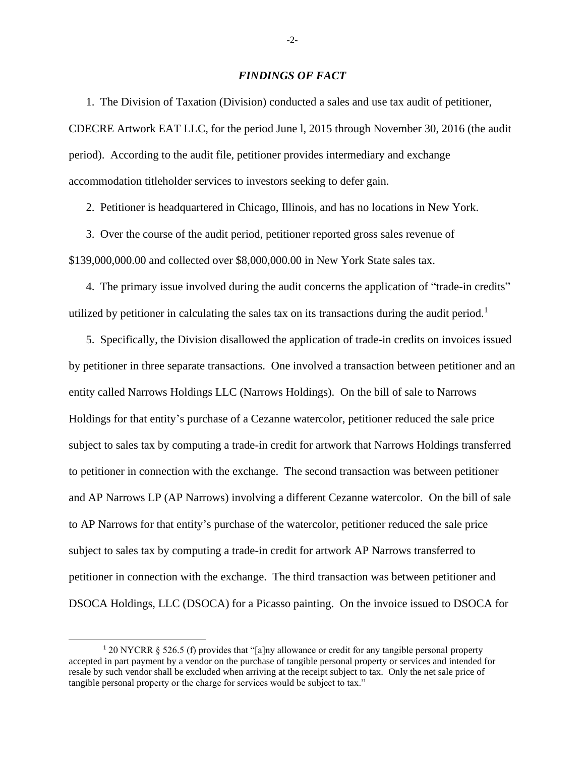### *FINDINGS OF FACT*

1. The Division of Taxation (Division) conducted a sales and use tax audit of petitioner, CDECRE Artwork EAT LLC, for the period June l, 2015 through November 30, 2016 (the audit period). According to the audit file, petitioner provides intermediary and exchange accommodation titleholder services to investors seeking to defer gain.

2. Petitioner is headquartered in Chicago, Illinois, and has no locations in New York.

3. Over the course of the audit period, petitioner reported gross sales revenue of \$139,000,000.00 and collected over \$8,000,000.00 in New York State sales tax.

4. The primary issue involved during the audit concerns the application of "trade-in credits" utilized by petitioner in calculating the sales tax on its transactions during the audit period.<sup>1</sup>

5. Specifically, the Division disallowed the application of trade-in credits on invoices issued by petitioner in three separate transactions. One involved a transaction between petitioner and an entity called Narrows Holdings LLC (Narrows Holdings). On the bill of sale to Narrows Holdings for that entity's purchase of a Cezanne watercolor, petitioner reduced the sale price subject to sales tax by computing a trade-in credit for artwork that Narrows Holdings transferred to petitioner in connection with the exchange. The second transaction was between petitioner and AP Narrows LP (AP Narrows) involving a different Cezanne watercolor. On the bill of sale to AP Narrows for that entity's purchase of the watercolor, petitioner reduced the sale price subject to sales tax by computing a trade-in credit for artwork AP Narrows transferred to petitioner in connection with the exchange. The third transaction was between petitioner and DSOCA Holdings, LLC (DSOCA) for a Picasso painting. On the invoice issued to DSOCA for

-2-

<sup>1</sup> 20 NYCRR § 526.5 (f) provides that "[a]ny allowance or credit for any tangible personal property accepted in part payment by a vendor on the purchase of tangible personal property or services and intended for resale by such vendor shall be excluded when arriving at the receipt subject to tax. Only the net sale price of tangible personal property or the charge for services would be subject to tax."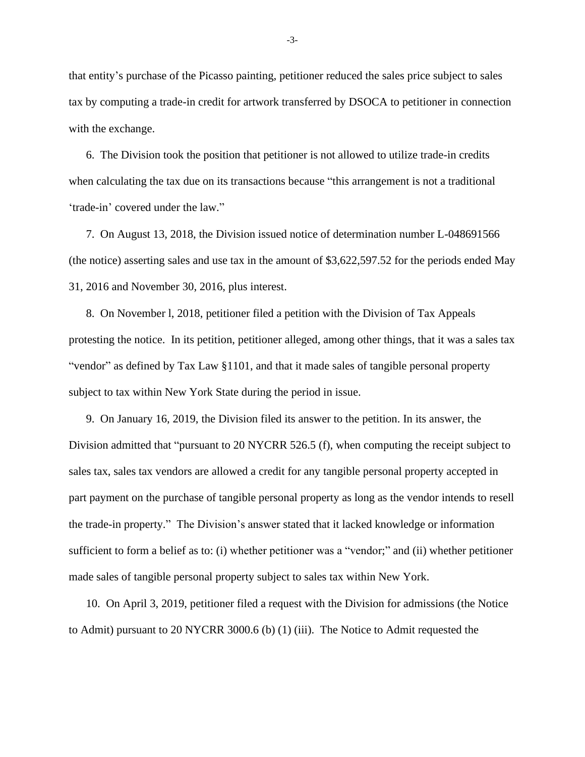that entity's purchase of the Picasso painting, petitioner reduced the sales price subject to sales tax by computing a trade-in credit for artwork transferred by DSOCA to petitioner in connection with the exchange.

6. The Division took the position that petitioner is not allowed to utilize trade-in credits when calculating the tax due on its transactions because "this arrangement is not a traditional 'trade-in' covered under the law."

7. On August 13, 2018, the Division issued notice of determination number L-048691566 (the notice) asserting sales and use tax in the amount of \$3,622,597.52 for the periods ended May 31, 2016 and November 30, 2016, plus interest.

8. On November l, 2018, petitioner filed a petition with the Division of Tax Appeals protesting the notice. In its petition, petitioner alleged, among other things, that it was a sales tax "vendor" as defined by Tax Law §1101, and that it made sales of tangible personal property subject to tax within New York State during the period in issue.

9. On January 16, 2019, the Division filed its answer to the petition. In its answer, the Division admitted that "pursuant to 20 NYCRR 526.5 (f), when computing the receipt subject to sales tax, sales tax vendors are allowed a credit for any tangible personal property accepted in part payment on the purchase of tangible personal property as long as the vendor intends to resell the trade-in property." The Division's answer stated that it lacked knowledge or information sufficient to form a belief as to: (i) whether petitioner was a "vendor;" and (ii) whether petitioner made sales of tangible personal property subject to sales tax within New York.

10. On April 3, 2019, petitioner filed a request with the Division for admissions (the Notice to Admit) pursuant to 20 NYCRR 3000.6 (b) (1) (iii). The Notice to Admit requested the

-3-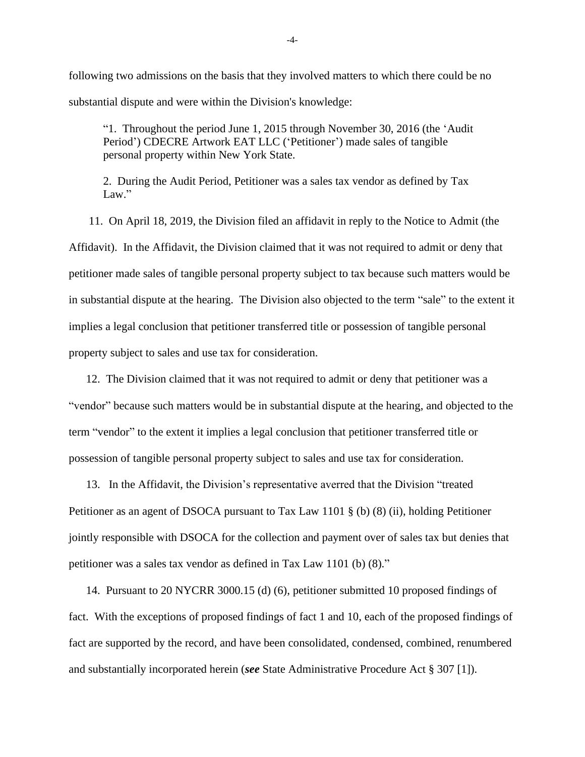following two admissions on the basis that they involved matters to which there could be no substantial dispute and were within the Division's knowledge:

"1. Throughout the period June 1, 2015 through November 30, 2016 (the 'Audit Period') CDECRE Artwork EAT LLC ('Petitioner') made sales of tangible personal property within New York State.

2. During the Audit Period, Petitioner was a sales tax vendor as defined by Tax Law."

11. On April 18, 2019, the Division filed an affidavit in reply to the Notice to Admit (the Affidavit). In the Affidavit, the Division claimed that it was not required to admit or deny that petitioner made sales of tangible personal property subject to tax because such matters would be in substantial dispute at the hearing. The Division also objected to the term "sale" to the extent it implies a legal conclusion that petitioner transferred title or possession of tangible personal property subject to sales and use tax for consideration.

12. The Division claimed that it was not required to admit or deny that petitioner was a "vendor" because such matters would be in substantial dispute at the hearing, and objected to the term "vendor" to the extent it implies a legal conclusion that petitioner transferred title or possession of tangible personal property subject to sales and use tax for consideration.

13. In the Affidavit, the Division's representative averred that the Division "treated Petitioner as an agent of DSOCA pursuant to Tax Law 1101 § (b) (8) (ii), holding Petitioner jointly responsible with DSOCA for the collection and payment over of sales tax but denies that petitioner was a sales tax vendor as defined in Tax Law 1101 (b) (8)."

14. Pursuant to 20 NYCRR 3000.15 (d) (6), petitioner submitted 10 proposed findings of fact. With the exceptions of proposed findings of fact 1 and 10, each of the proposed findings of fact are supported by the record, and have been consolidated, condensed, combined, renumbered and substantially incorporated herein (*see* State Administrative Procedure Act § 307 [1]).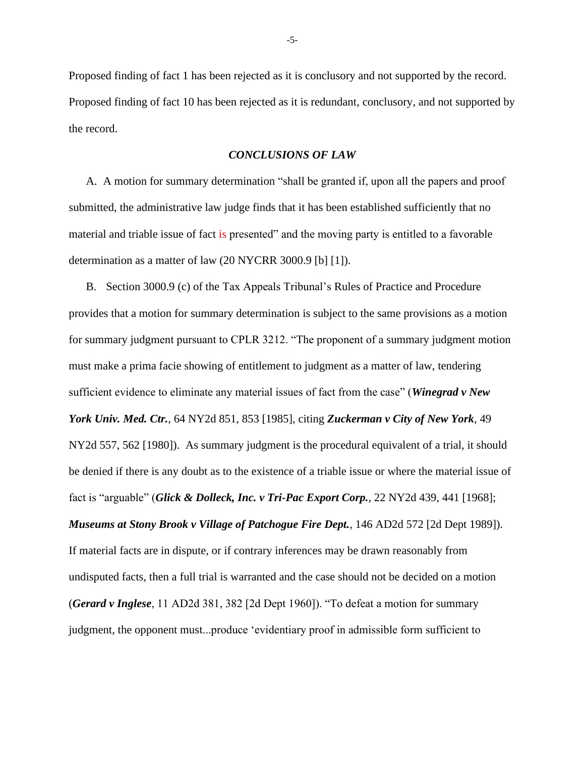Proposed finding of fact 1 has been rejected as it is conclusory and not supported by the record. Proposed finding of fact 10 has been rejected as it is redundant, conclusory, and not supported by the record.

#### *CONCLUSIONS OF LAW*

A. A motion for summary determination "shall be granted if, upon all the papers and proof submitted, the administrative law judge finds that it has been established sufficiently that no material and triable issue of fact is presented" and the moving party is entitled to a favorable determination as a matter of law (20 NYCRR 3000.9 [b] [1]).

B. Section 3000.9 (c) of the Tax Appeals Tribunal's Rules of Practice and Procedure provides that a motion for summary determination is subject to the same provisions as a motion for summary judgment pursuant to CPLR 3212. "The proponent of a summary judgment motion must make a prima facie showing of entitlement to judgment as a matter of law, tendering sufficient evidence to eliminate any material issues of fact from the case" (*Winegrad v New York Univ. Med. Ctr.*, 64 NY2d 851, 853 [1985], citing *Zuckerman v City of New York*, 49 NY2d 557, 562 [1980]). As summary judgment is the procedural equivalent of a trial, it should be denied if there is any doubt as to the existence of a triable issue or where the material issue of fact is "arguable" (*Glick & Dolleck, Inc. v Tri-Pac Export Corp.*, 22 NY2d 439, 441 [1968]; *Museums at Stony Brook v Village of Patchogue Fire Dept.*, 146 AD2d 572 [2d Dept 1989]). If material facts are in dispute, or if contrary inferences may be drawn reasonably from undisputed facts, then a full trial is warranted and the case should not be decided on a motion (*Gerard v Inglese*, 11 AD2d 381, 382 [2d Dept 1960]). "To defeat a motion for summary judgment, the opponent must...produce 'evidentiary proof in admissible form sufficient to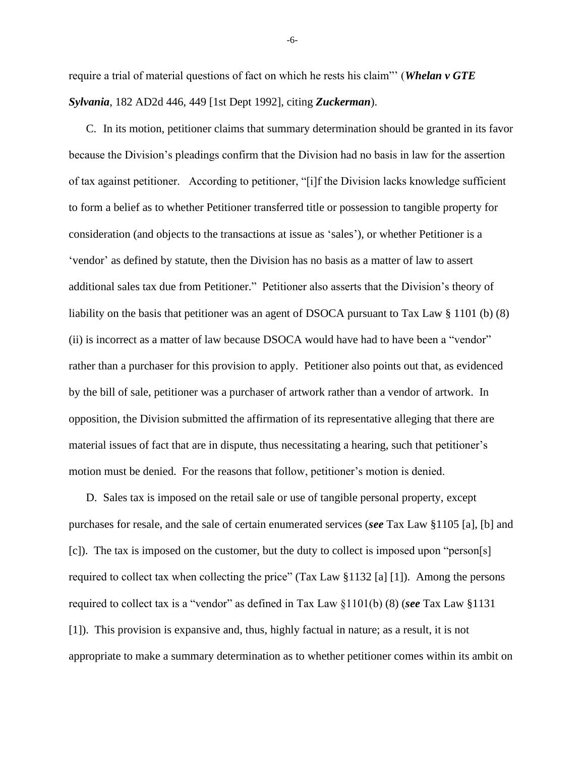require a trial of material questions of fact on which he rests his claim"' (*Whelan v GTE Sylvania*, 182 AD2d 446, 449 [1st Dept 1992], citing *Zuckerman*).

C. In its motion, petitioner claims that summary determination should be granted in its favor because the Division's pleadings confirm that the Division had no basis in law for the assertion of tax against petitioner. According to petitioner, "[i]f the Division lacks knowledge sufficient to form a belief as to whether Petitioner transferred title or possession to tangible property for consideration (and objects to the transactions at issue as 'sales'), or whether Petitioner is a 'vendor' as defined by statute, then the Division has no basis as a matter of law to assert additional sales tax due from Petitioner." Petitioner also asserts that the Division's theory of liability on the basis that petitioner was an agent of DSOCA pursuant to Tax Law § 1101 (b) (8) (ii) is incorrect as a matter of law because DSOCA would have had to have been a "vendor" rather than a purchaser for this provision to apply. Petitioner also points out that, as evidenced by the bill of sale, petitioner was a purchaser of artwork rather than a vendor of artwork. In opposition, the Division submitted the affirmation of its representative alleging that there are material issues of fact that are in dispute, thus necessitating a hearing, such that petitioner's motion must be denied. For the reasons that follow, petitioner's motion is denied.

D. Sales tax is imposed on the retail sale or use of tangible personal property, except purchases for resale, and the sale of certain enumerated services (*see* Tax Law §1105 [a], [b] and [c]). The tax is imposed on the customer, but the duty to collect is imposed upon "person[s] required to collect tax when collecting the price" (Tax Law §1132 [a] [1]). Among the persons required to collect tax is a "vendor" as defined in Tax Law §1101(b) (8) (*see* Tax Law §1131 [1]). This provision is expansive and, thus, highly factual in nature; as a result, it is not appropriate to make a summary determination as to whether petitioner comes within its ambit on

-6-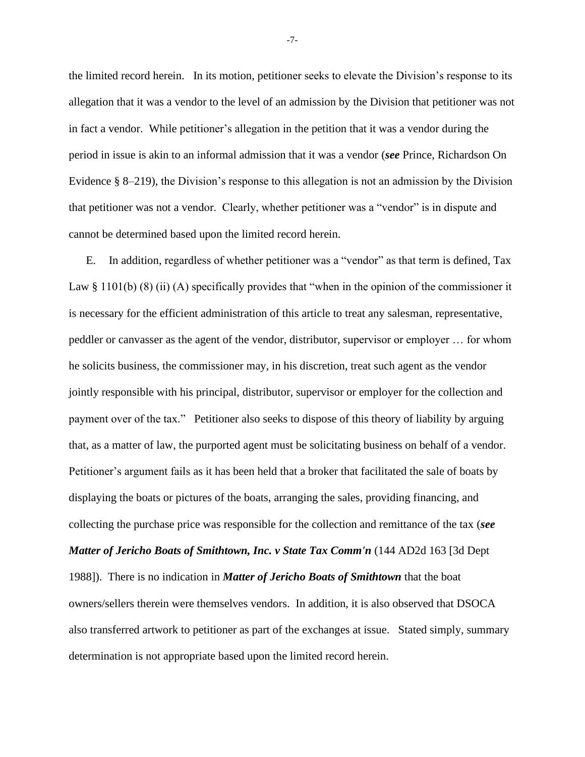the limited record herein. In its motion, petitioner seeks to elevate the Division's response to its allegation that it was a vendor to the level of an admission by the Division that petitioner was not in fact a vendor. While petitioner's allegation in the petition that it was a vendor during the period in issue is akin to an informal admission that it was a vendor (*see* Prince, Richardson On Evidence § 8–219), the Division's response to this allegation is not an admission by the Division that petitioner was not a vendor. Clearly, whether petitioner was a "vendor" is in dispute and cannot be determined based upon the limited record herein.

E. In addition, regardless of whether petitioner was a "vendor" as that term is defined, Tax Law § 1101(b) (8) (ii) (A) specifically provides that "when in the opinion of the commissioner it is necessary for the efficient administration of this article to treat any salesman, representative, peddler or canvasser as the agent of the vendor, distributor, supervisor or employer … for whom he solicits business, the commissioner may, in his discretion, treat such agent as the vendor jointly responsible with his principal, distributor, supervisor or employer for the collection and payment over of the tax." Petitioner also seeks to dispose of this theory of liability by arguing that, as a matter of law, the purported agent must be solicitating business on behalf of a vendor. Petitioner's argument fails as it has been held that a broker that facilitated the sale of boats by displaying the boats or pictures of the boats, arranging the sales, providing financing, and collecting the purchase price was responsible for the collection and remittance of the tax (*see Matter of Jericho Boats of Smithtown, Inc. v State Tax Comm'n* (144 AD2d 163 [3d Dept 1988]). There is no indication in *Matter of Jericho Boats of Smithtown* that the boat owners/sellers therein were themselves vendors. In addition, it is also observed that DSOCA also transferred artwork to petitioner as part of the exchanges at issue. Stated simply, summary determination is not appropriate based upon the limited record herein.

-7-